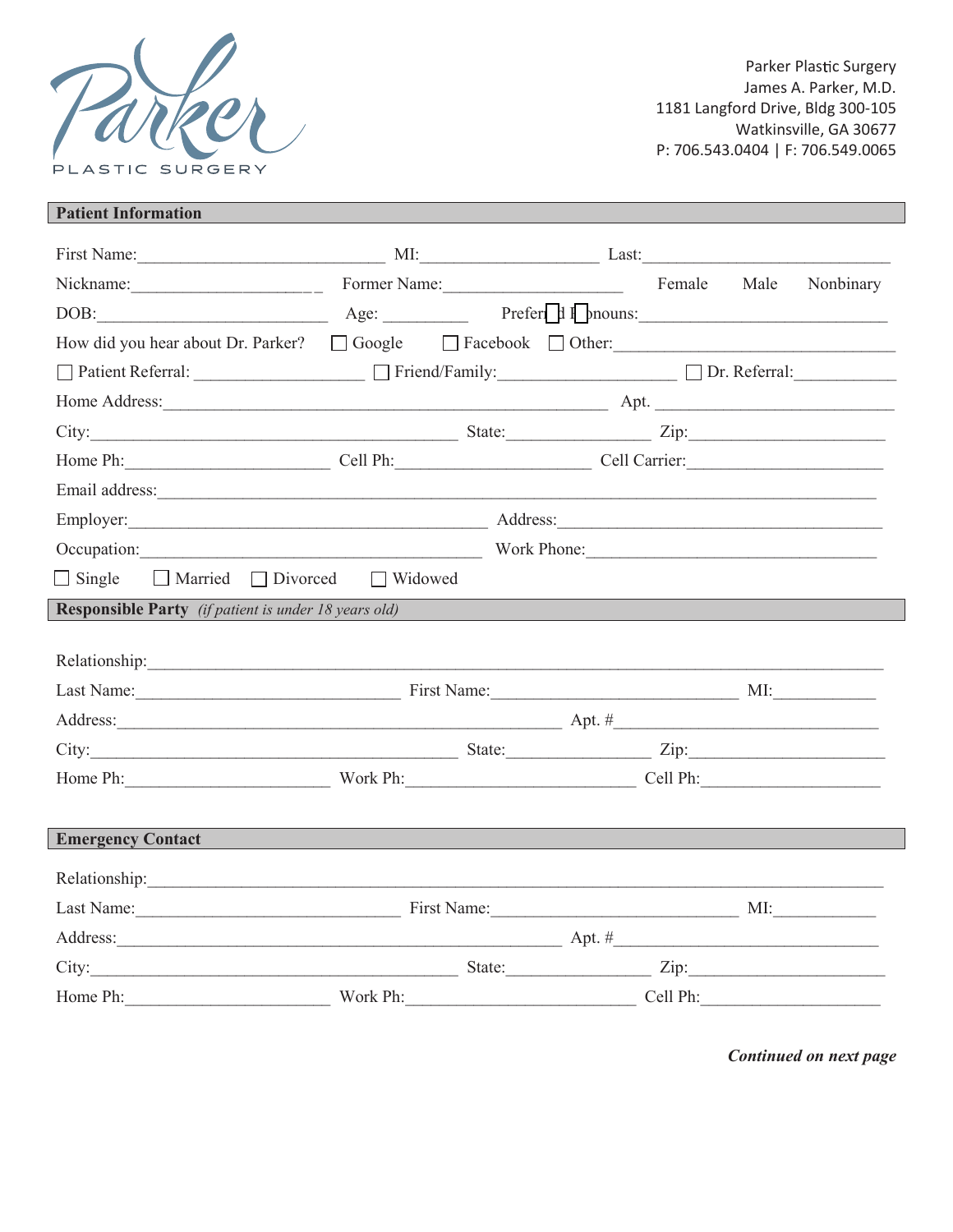

Parker Plastic Surgery James A. Parker, M.D. 1181 Langford Drive, Bldg 300-105 Watkinsville, GA 30677 P: 706.543.0404 | F: 706.549.0065

## **Patient Information**

| First Name: MI: Last: Last:                                                                                                                                                                                                          |                          |  |  |           |
|--------------------------------------------------------------------------------------------------------------------------------------------------------------------------------------------------------------------------------------|--------------------------|--|--|-----------|
| Nickname: $\frac{1}{2}$                                                                                                                                                                                                              | Former Name: Female Male |  |  | Nonbinary |
| DOB: Age: <u>Age: Prefer</u>   I pnouns:                                                                                                                                                                                             |                          |  |  |           |
| How did you hear about Dr. Parker? $\Box$ Google $\Box$ Facebook $\Box$ Other:                                                                                                                                                       |                          |  |  |           |
| □ Patient Referral: _____________________ □ Friend/Family: _________________ □ Dr. Referral: ____________                                                                                                                            |                          |  |  |           |
|                                                                                                                                                                                                                                      |                          |  |  |           |
|                                                                                                                                                                                                                                      |                          |  |  |           |
| Home Ph: Cell Ph: Cell Ph: Cell Carrier:                                                                                                                                                                                             |                          |  |  |           |
| Email address: <u>contract the contract of the contract of the contract of the contract of the contract of the contract of the contract of the contract of the contract of the contract of the contract of the contract of the c</u> |                          |  |  |           |
| Employer: Address:                                                                                                                                                                                                                   |                          |  |  |           |
| Occupation: Work Phone:                                                                                                                                                                                                              |                          |  |  |           |
| $\Box$ Single $\Box$ Married $\Box$ Divorced $\Box$ Widowed                                                                                                                                                                          |                          |  |  |           |
| <b>Responsible Party</b> (if patient is under 18 years old)                                                                                                                                                                          |                          |  |  |           |
|                                                                                                                                                                                                                                      |                          |  |  |           |
| Relationship: New York Changes and Changes and Changes and Changes and Changes and Changes and Changes and Changes and Changes and Changes and Changes and Changes and Changes and Changes and Changes and Changes and Changes       |                          |  |  |           |
| Last Name: MI: Millet Manne: MI: Millet Manne: MI: Millet Manne: MI: Millet Manne: MI: Millet Manne: MI: Millet Manne: MI: Millet Manne: MI: Millet Manne: Millet Manne: Millet Manne: Millet Manne: Millet Manne: Millet Mann       |                          |  |  |           |
|                                                                                                                                                                                                                                      |                          |  |  |           |
| City: <u>City:</u> City: City: City: City: City: City: City: City: City: City: City: City: City: City: City: City: City: City: City: City: City: City: City: City: City: City: City: City: City: City: City: City: City: City: City  |                          |  |  |           |
| Home Ph: Work Ph: Work Ph: Cell Ph:                                                                                                                                                                                                  |                          |  |  |           |
|                                                                                                                                                                                                                                      |                          |  |  |           |
| <b>Emergency Contact</b>                                                                                                                                                                                                             | <b>CONTRACTOR</b>        |  |  |           |
| Relationship: New York Changes and Changes and Changes and Changes and Changes and Changes and Changes and Changes and Changes and Changes and Changes and Changes and Changes and Changes and Changes and Changes and Changes       |                          |  |  |           |
| Last Name: MI: Minimum Pirst Name: MI: Minimum Pirst Name: MI: MI: Minimum Pirst Name: MI: Minimum Pirst Name: MI                                                                                                                    |                          |  |  |           |
|                                                                                                                                                                                                                                      |                          |  |  |           |
| City: $\frac{1}{2}$ State: $\frac{1}{2}$ State: $\frac{1}{2}$ Zip: $\frac{1}{2}$                                                                                                                                                     |                          |  |  |           |
| Home Ph: Work Ph: Work Ph: Cell Ph:                                                                                                                                                                                                  |                          |  |  |           |
|                                                                                                                                                                                                                                      |                          |  |  |           |

Continued on next page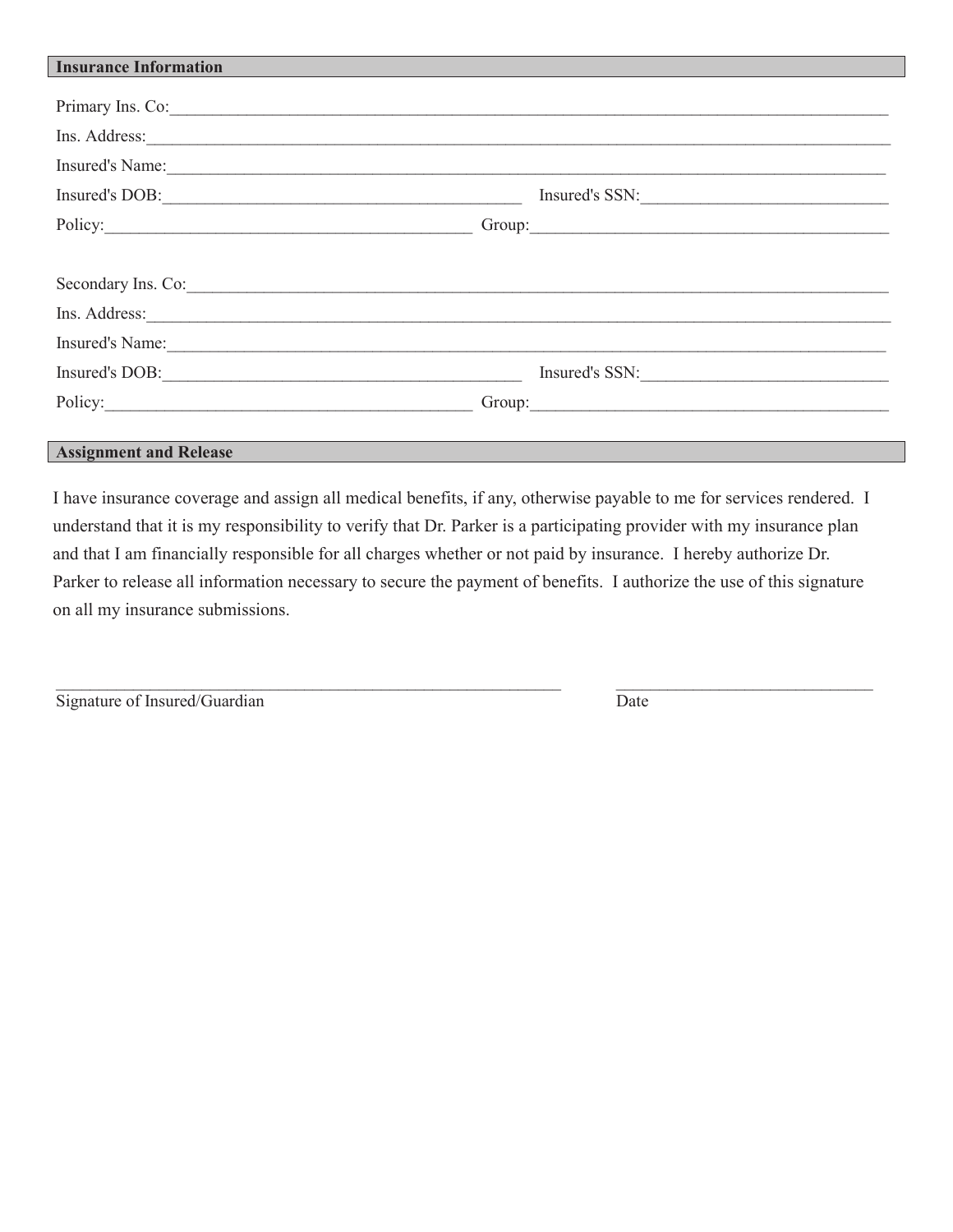| <b>Insurance Information</b>                                                                                                                                                                                                         |                                                                                                                                                                                                                                |
|--------------------------------------------------------------------------------------------------------------------------------------------------------------------------------------------------------------------------------------|--------------------------------------------------------------------------------------------------------------------------------------------------------------------------------------------------------------------------------|
|                                                                                                                                                                                                                                      |                                                                                                                                                                                                                                |
| Primary Ins. Co:                                                                                                                                                                                                                     |                                                                                                                                                                                                                                |
| Ins. Address: <u>Contract of the Contract of the Contract of the Contract of the Contract of the Contract of the Contract of the Contract of the Contract of the Contract of the Contract of the Contract of the Contract of the</u> |                                                                                                                                                                                                                                |
| Insured's Name:                                                                                                                                                                                                                      |                                                                                                                                                                                                                                |
| Insured's DOB:                                                                                                                                                                                                                       | Insured's SSN:                                                                                                                                                                                                                 |
|                                                                                                                                                                                                                                      | Policy: Croup: Croup: Croup: Croup: Croup: Croup: Croup: Croup: Croup: Croup: Croup: Croup: Croup: Croup: Croup: Croup: Croup: Croup: Croup: Croup: Croup: Croup: Croup: Croup: Croup: Croup: Croup: Croup: Croup: Croup: Crou |
|                                                                                                                                                                                                                                      |                                                                                                                                                                                                                                |
| Secondary Ins. Co:                                                                                                                                                                                                                   |                                                                                                                                                                                                                                |
| Ins. Address: <u>Contract of the contract of the set of the contract of the set of the set of the set of the set of the set of the set of the set of the set of the set of the set of the set of the set of the set of the set o</u> |                                                                                                                                                                                                                                |
| Insured's Name:                                                                                                                                                                                                                      |                                                                                                                                                                                                                                |
|                                                                                                                                                                                                                                      | Insured's SSN:                                                                                                                                                                                                                 |
|                                                                                                                                                                                                                                      | Group:                                                                                                                                                                                                                         |
|                                                                                                                                                                                                                                      |                                                                                                                                                                                                                                |
| <b>Assignment and Release</b>                                                                                                                                                                                                        |                                                                                                                                                                                                                                |

I have insurance coverage and assign all medical benefits, if any, otherwise payable to me for services rendered. I understand that it is my responsibility to verify that Dr. Parker is a participating provider with my insurance plan and that I am financially responsible for all charges whether or not paid by insurance. I hereby authorize Dr. Parker to release all information necessary to secure the payment of benefits. I authorize the use of this signature on all my insurance submissions.

 $\mathcal{L}_\mathcal{L} = \mathcal{L}_\mathcal{L} = \mathcal{L}_\mathcal{L} = \mathcal{L}_\mathcal{L} = \mathcal{L}_\mathcal{L} = \mathcal{L}_\mathcal{L} = \mathcal{L}_\mathcal{L} = \mathcal{L}_\mathcal{L} = \mathcal{L}_\mathcal{L} = \mathcal{L}_\mathcal{L} = \mathcal{L}_\mathcal{L} = \mathcal{L}_\mathcal{L} = \mathcal{L}_\mathcal{L} = \mathcal{L}_\mathcal{L} = \mathcal{L}_\mathcal{L} = \mathcal{L}_\mathcal{L} = \mathcal{L}_\mathcal{L}$ 

| Signature of Insured/Guardian | Date |
|-------------------------------|------|
|-------------------------------|------|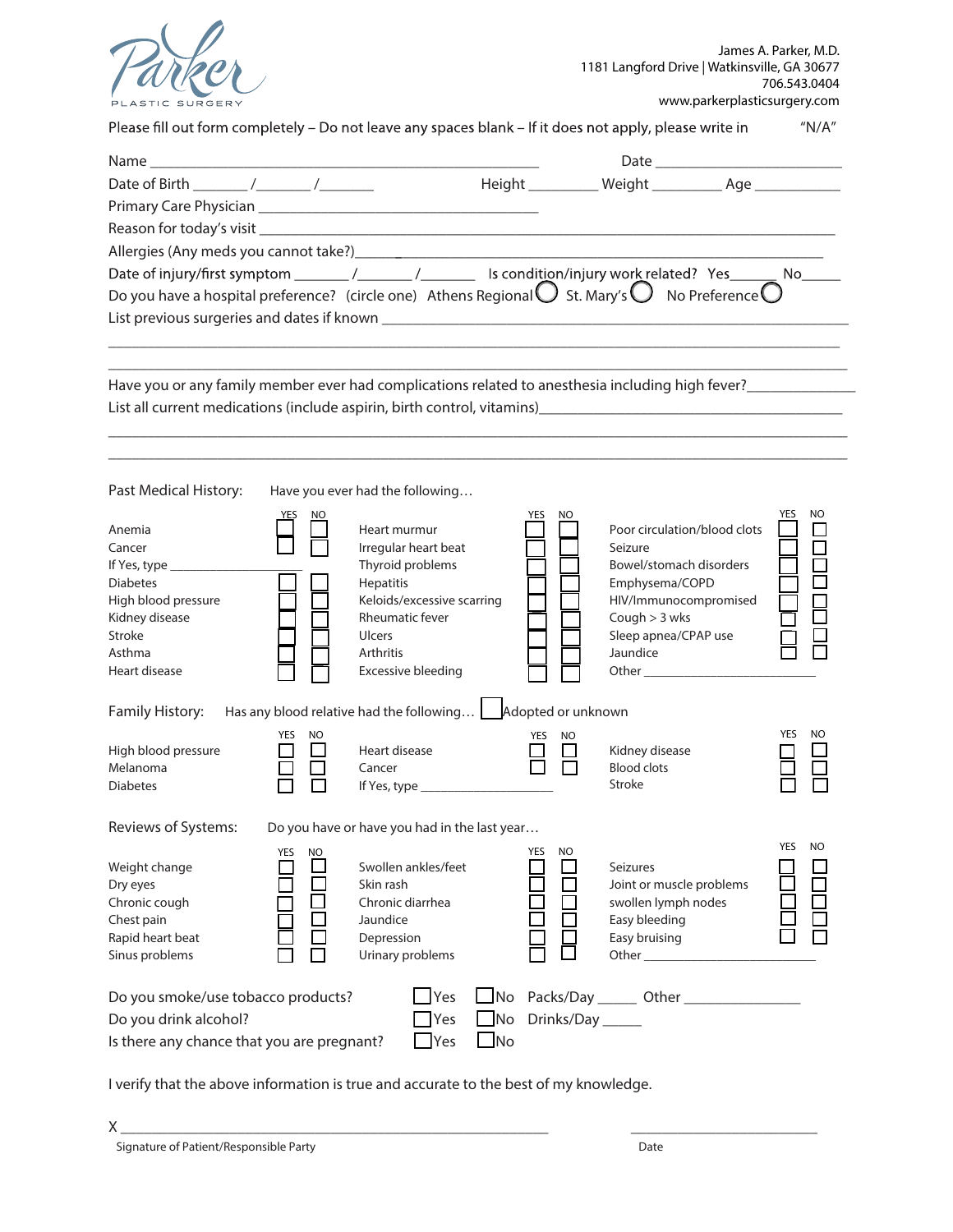

| Please fill out form completely - Do not leave any spaces blank - If it does not apply, please write in                   |            |                                                               |           |                   |                                                                                                                                                                                                                                | ''N/A''                 |
|---------------------------------------------------------------------------------------------------------------------------|------------|---------------------------------------------------------------|-----------|-------------------|--------------------------------------------------------------------------------------------------------------------------------------------------------------------------------------------------------------------------------|-------------------------|
|                                                                                                                           |            |                                                               |           |                   |                                                                                                                                                                                                                                |                         |
|                                                                                                                           |            |                                                               |           |                   | Height ____________ Weight ____________ Age _______________                                                                                                                                                                    |                         |
|                                                                                                                           |            |                                                               |           |                   |                                                                                                                                                                                                                                |                         |
|                                                                                                                           |            |                                                               |           |                   |                                                                                                                                                                                                                                |                         |
|                                                                                                                           |            |                                                               |           |                   |                                                                                                                                                                                                                                |                         |
|                                                                                                                           |            |                                                               |           |                   |                                                                                                                                                                                                                                |                         |
| Do you have a hospital preference? (circle one) Athens Regional $\bigcirc$ St. Mary's $\bigcirc$ No Preference $\bigcirc$ |            |                                                               |           |                   |                                                                                                                                                                                                                                |                         |
|                                                                                                                           |            |                                                               |           |                   |                                                                                                                                                                                                                                |                         |
|                                                                                                                           |            |                                                               |           |                   |                                                                                                                                                                                                                                |                         |
|                                                                                                                           |            |                                                               |           |                   |                                                                                                                                                                                                                                |                         |
|                                                                                                                           |            |                                                               |           |                   |                                                                                                                                                                                                                                |                         |
|                                                                                                                           |            |                                                               |           |                   |                                                                                                                                                                                                                                |                         |
|                                                                                                                           |            |                                                               |           |                   |                                                                                                                                                                                                                                |                         |
|                                                                                                                           |            |                                                               |           |                   |                                                                                                                                                                                                                                |                         |
| Past Medical History:                                                                                                     |            | Have you ever had the following                               |           |                   |                                                                                                                                                                                                                                |                         |
| Anemia                                                                                                                    |            | Heart murmur                                                  |           | YES<br>NO.        | Poor circulation/blood clots                                                                                                                                                                                                   | YES<br>NO.              |
| Cancer                                                                                                                    |            | Irregular heart beat                                          |           |                   | Seizure                                                                                                                                                                                                                        |                         |
| If Yes, type $\frac{1}{2}$                                                                                                |            | Thyroid problems                                              |           |                   | Bowel/stomach disorders                                                                                                                                                                                                        |                         |
| <b>Diabetes</b>                                                                                                           |            | Hepatitis                                                     |           |                   | Emphysema/COPD                                                                                                                                                                                                                 |                         |
| High blood pressure<br>Kidney disease                                                                                     |            | Keloids/excessive scarring<br><b>Rheumatic fever</b>          |           |                   | HIV/Immunocompromised<br>Cough $>$ 3 wks                                                                                                                                                                                       |                         |
| Stroke                                                                                                                    |            | <b>Ulcers</b>                                                 |           |                   | Sleep apnea/CPAP use                                                                                                                                                                                                           |                         |
| Asthma                                                                                                                    |            | Arthritis                                                     |           |                   | Jaundice                                                                                                                                                                                                                       |                         |
| Heart disease                                                                                                             |            | Excessive bleeding                                            |           |                   |                                                                                                                                                                                                                                |                         |
| Family History:                                                                                                           |            | Has any blood relative had the following   Adopted or unknown |           |                   |                                                                                                                                                                                                                                |                         |
|                                                                                                                           | YES<br>NO. |                                                               |           | YES<br>NO         |                                                                                                                                                                                                                                | <b>YES</b><br><b>NO</b> |
| High blood pressure<br>Melanoma                                                                                           |            | Heart disease<br>Cancer                                       |           |                   | Kidney disease<br><b>Blood clots</b>                                                                                                                                                                                           |                         |
| <b>Diabetes</b>                                                                                                           |            | If Yes, type _____________                                    |           |                   | Stroke                                                                                                                                                                                                                         |                         |
|                                                                                                                           |            |                                                               |           |                   |                                                                                                                                                                                                                                |                         |
| Reviews of Systems:                                                                                                       |            | Do you have or have you had in the last year                  |           |                   |                                                                                                                                                                                                                                |                         |
| Weight change                                                                                                             | NO.<br>YES | Swollen ankles/feet                                           |           | YES<br>NO.        | <b>Seizures</b>                                                                                                                                                                                                                | YES<br><b>NO</b>        |
| Dry eyes                                                                                                                  |            | Skin rash                                                     |           |                   | Joint or muscle problems                                                                                                                                                                                                       |                         |
| Chronic cough                                                                                                             |            | Chronic diarrhea                                              |           |                   | swollen lymph nodes                                                                                                                                                                                                            |                         |
| Chest pain                                                                                                                |            | Jaundice                                                      |           |                   | Easy bleeding                                                                                                                                                                                                                  |                         |
| Rapid heart beat                                                                                                          |            | Depression                                                    |           |                   | Easy bruising                                                                                                                                                                                                                  |                         |
| Sinus problems                                                                                                            |            | Urinary problems                                              |           |                   | Other and the control of the control of the control of the control of the control of the control of the control of the control of the control of the control of the control of the control of the control of the control of th |                         |
| Do you smoke/use tobacco products?                                                                                        |            | <b>Yes</b>                                                    | $\Box$ No |                   |                                                                                                                                                                                                                                |                         |
| Do you drink alcohol?                                                                                                     |            | Yes                                                           | No.       | Drinks/Day ______ |                                                                                                                                                                                                                                |                         |
| Is there any chance that you are pregnant?                                                                                |            | Yes                                                           | ]No       |                   |                                                                                                                                                                                                                                |                         |

I verify that the above information is true and accurate to the best of my knowledge.

 $X \xrightarrow{y}$ 

\_\_\_\_\_\_\_\_\_\_\_\_\_\_\_\_\_\_\_\_\_\_\_\_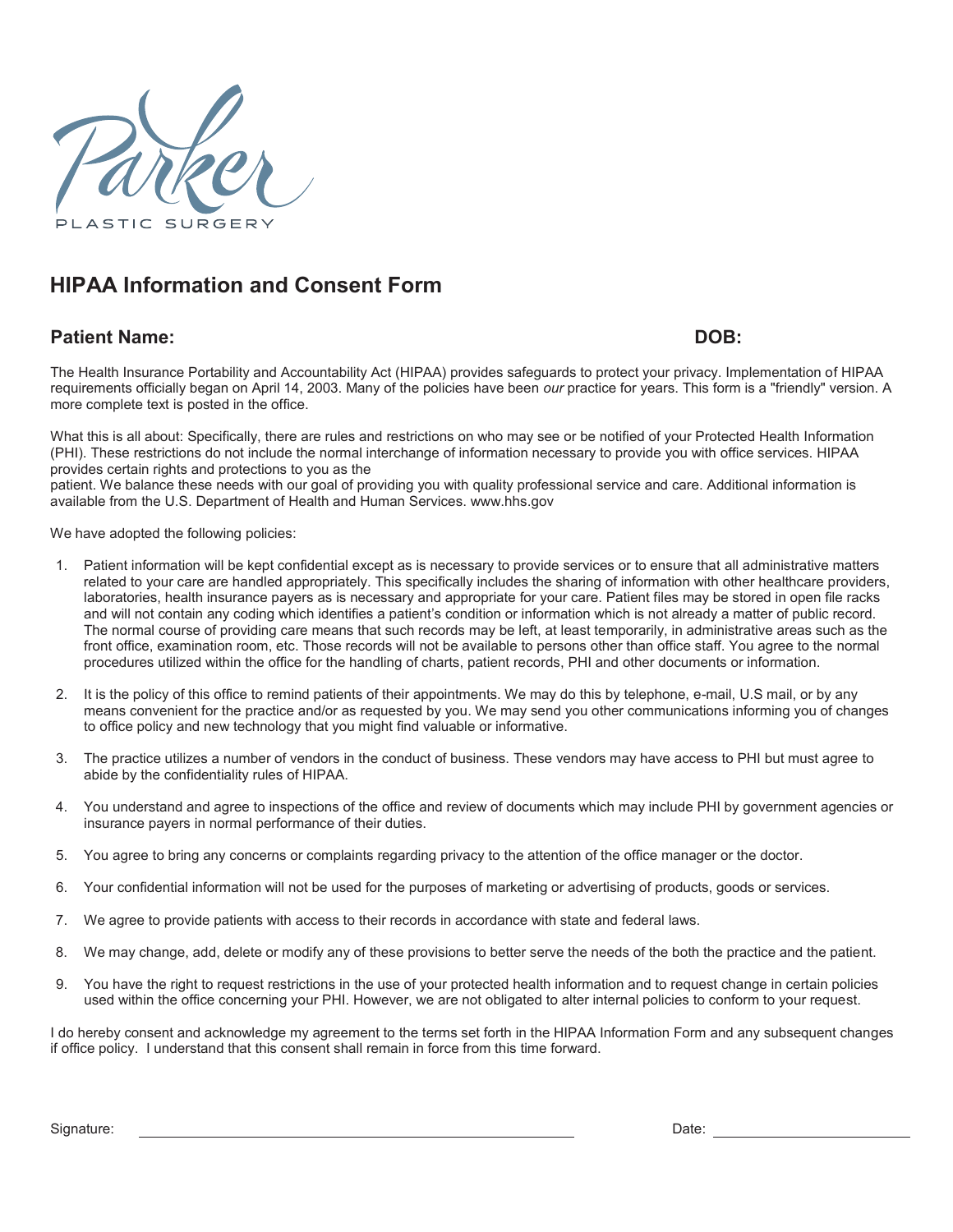

# **HIPAA Information and Consent Form**

### **Patient Name: DOB:**

The Health Insurance Portability and Accountability Act (HIPAA) provides safeguards to protect your privacy. Implementation of HIPAA requirements officially began on April 14, 2003. Many of the policies have been *our* practice for years. This form is a "friendly" version. A more complete text is posted in the office.

What this is all about: Specifically, there are rules and restrictions on who may see or be notified of your Protected Health Information (PHI). These restrictions do not include the normal interchange of information necessary to provide you with office services. HIPAA provides certain rights and protections to you as the

patient. We balance these needs with our goal of providing you with quality professional service and care. Additional information is available from the U.S. Department of Health and Human Services. www.hhs.gov

We have adopted the following policies:

- 1. Patient information will be kept confidential except as is necessary to provide services or to ensure that all administrative matters related to your care are handled appropriately. This specifically includes the sharing of information with other healthcare providers, laboratories, health insurance payers as is necessary and appropriate for your care. Patient files may be stored in open file racks and will not contain any coding which identifies a patient's condition or information which is not already a matter of public record. The normal course of providing care means that such records may be left, at least temporarily, in administrative areas such as the front office, examination room, etc. Those records will not be available to persons other than office staff. You agree to the normal procedures utilized within the office for the handling of charts, patient records, PHI and other documents or information.
- 2. It is the policy of this office to remind patients of their appointments. We may do this by telephone, e-mail, U.S mail, or by any means convenient for the practice and/or as requested by you. We may send you other communications informing you of changes to office policy and new technology that you might find valuable or informative.
- 3. The practice utilizes a number of vendors in the conduct of business. These vendors may have access to PHI but must agree to abide by the confidentiality rules of HIPAA.
- 4. You understand and agree to inspections of the office and review of documents which may include PHI by government agencies or insurance payers in normal performance of their duties.
- 5. You agree to bring any concerns or complaints regarding privacy to the attention of the office manager or the doctor.
- 6. Your confidential information will not be used for the purposes of marketing or advertising of products, goods or services.
- 7. We agree to provide patients with access to their records in accordance with state and federal laws.
- 8. We may change, add, delete or modify any of these provisions to better serve the needs of the both the practice and the patient.
- 9. You have the right to request restrictions in the use of your protected health information and to request change in certain policies used within the office concerning your PHI. However, we are not obligated to alter internal policies to conform to your request.

I do hereby consent and acknowledge my agreement to the terms set forth in the HIPAA Information Form and any subsequent changes if office policy. I understand that this consent shall remain in force from this time forward.

Signature: Date: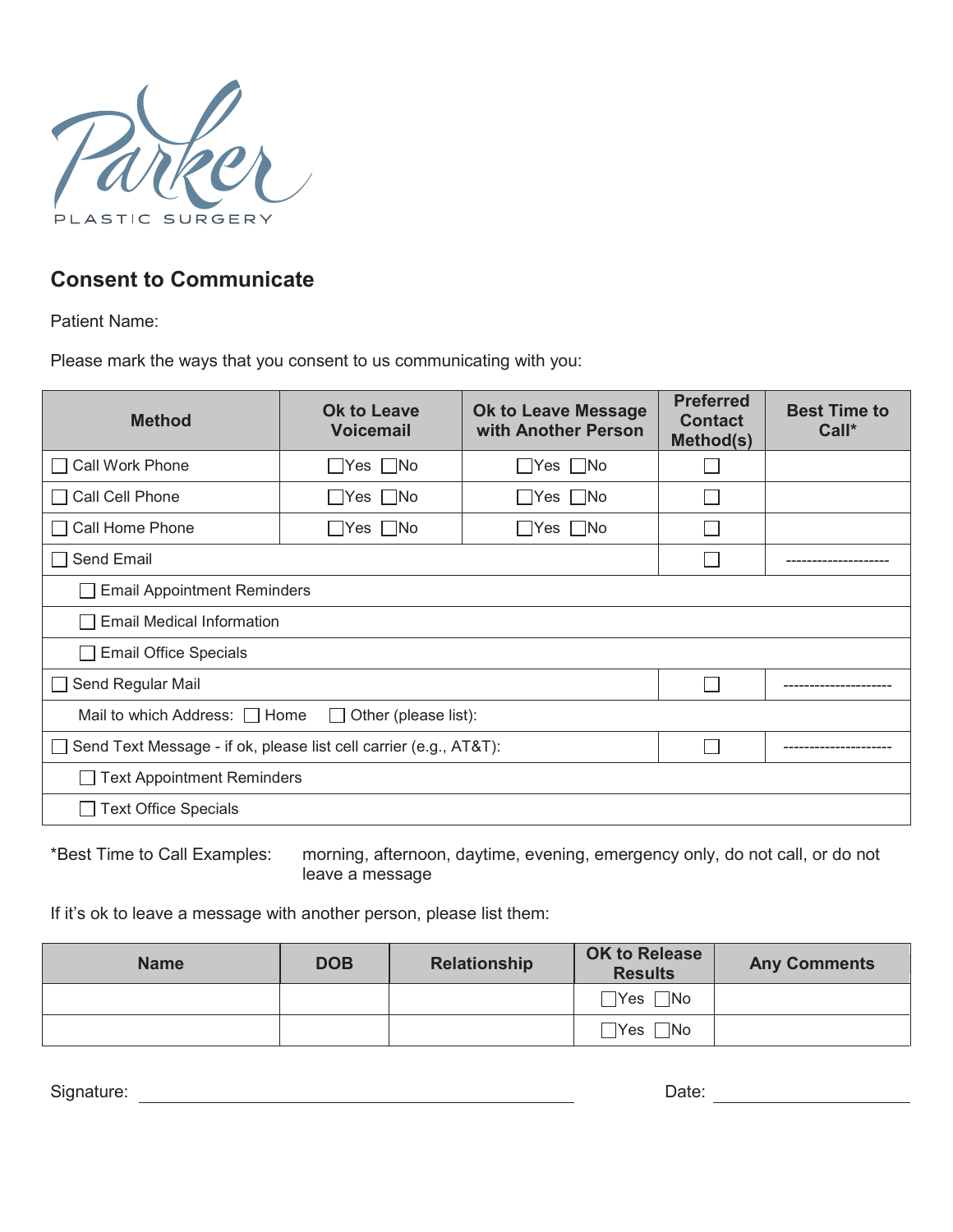

## **Consent to Communicate**

Patient Name:

Please mark the ways that you consent to us communicating with you:

| <b>Method</b>                                                          | <b>Ok to Leave Message</b><br><b>Ok to Leave</b><br>with Another Person<br><b>Voicemail</b> |                      | <b>Preferred</b><br><b>Contact</b><br>Method(s) | <b>Best Time to</b><br>Call* |
|------------------------------------------------------------------------|---------------------------------------------------------------------------------------------|----------------------|-------------------------------------------------|------------------------------|
| <b>Call Work Phone</b>                                                 | $\Box$ Yes $\Box$ No                                                                        | $\Box$ Yes $\Box$ No |                                                 |                              |
| Call Cell Phone                                                        | Yes    No                                                                                   | $\Box$ Yes $\Box$ No |                                                 |                              |
| Call Home Phone                                                        | $\Box$ Yes $\Box$ No                                                                        | Yes    No            |                                                 |                              |
| Send Email                                                             |                                                                                             |                      |                                                 |                              |
| <b>Email Appointment Reminders</b>                                     |                                                                                             |                      |                                                 |                              |
| <b>Email Medical Information</b>                                       |                                                                                             |                      |                                                 |                              |
| <b>Email Office Specials</b>                                           |                                                                                             |                      |                                                 |                              |
| Send Regular Mail                                                      |                                                                                             |                      |                                                 |                              |
| Mail to which Address: In Home<br>Other (please list):<br>$\mathsf{L}$ |                                                                                             |                      |                                                 |                              |
|                                                                        | Send Text Message - if ok, please list cell carrier (e.g., AT&T):                           |                      |                                                 |                              |
| <b>Text Appointment Reminders</b>                                      |                                                                                             |                      |                                                 |                              |
| <b>Text Office Specials</b>                                            |                                                                                             |                      |                                                 |                              |

\*Best Time to Call Examples: morning, afternoon, daytime, evening, emergency only, do not call, or do not leave a message

If it's ok to leave a message with another person, please list them:

| <b>Name</b> | <b>DOB</b> | <b>Relationship</b> | <b>OK to Release</b><br><b>Results</b> | <b>Any Comments</b> |
|-------------|------------|---------------------|----------------------------------------|---------------------|
|             |            |                     | $\Box$ Yes $\Box$ No                   |                     |
|             |            |                     | $\Box$ No<br>$\sqsupset$ Yes $_\perp$  |                     |

Signature: Date: